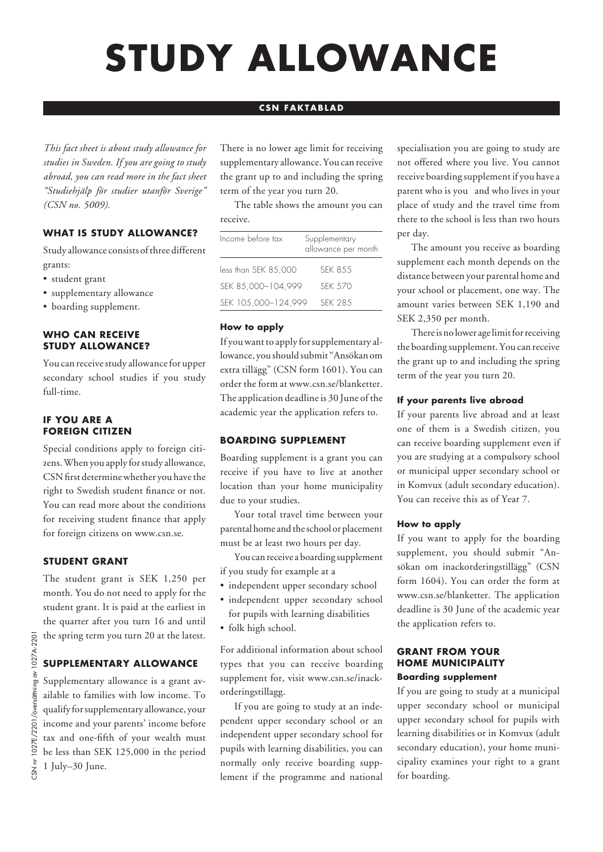# **STUDY ALLOWANCE**

# **CSN FAKTABLAD**

*This fact sheet is about study allowance for studies in Sweden. If you are going to study abroad, you can read more in the fact sheet "Studiehjälp för studier utanför Sverige" (CSN no. 5009).* 

# **WHAT IS STUDY ALLOWANCE?**

Study allowance consists of three different grants:

- student grant
- supplementary allowance
- boarding supplement.

#### **WHO CAN RECEIVE STUDY ALLOWANCE?**

You can receive study allowance for upper secondary school studies if you study full-time.

## **IF YOU ARE A FOREIGN CITIZEN**

Special conditions apply to foreign citizens. When you apply for study allowance, CSN first determine whether you have the right to Swedish student finance or not. You can read more about the conditions for receiving student finance that apply for foreign citizens on www.csn.se.

## **STUDENT GRANT**

The student grant is SEK 1,250 per month. You do not need to apply for the student grant. It is paid at the earliest in the quarter after you turn 16 and until the spring term you turn 20 at the latest.

## **SUPPLEMENTARY ALLOWANCE**

Supplementary allowance is a grant available to families with low income. To qualify for supplementary allowance, your income and your parents' income before tax and one-fifth of your wealth must be less than SEK 125,000 in the period 1 July–30 June.

There is no lower age limit for receiving supplementary allowance. You can receive the grant up to and including the spring term of the year you turn 20.

The table shows the amount you can receive.

| Income before tax    | Supplementary<br>allowance per month |
|----------------------|--------------------------------------|
| less than SEK 85,000 | <b>SFK 8.5.5</b>                     |
| SEK 85,000-104,999   | <b>SFK 570</b>                       |
| SEK 105,000-124,999  | <b>SFK 28.5</b>                      |

## **How to apply**

If you want to apply for supplementary allowance, you should submit "Ansökan om extra tillägg" (CSN form 1601). You can order the form at www.csn.se/blanketter. The application deadline is 30 June of the academic year the application refers to.

## **BOARDING SUPPLEMENT**

Boarding supplement is a grant you can receive if you have to live at another location than your home municipality due to your studies.

Your total travel time between your parental home and the school or placement must be at least two hours per day.

You can receive a boarding supplement if you study for example at a

- independent upper secondary school
- independent upper secondary school for pupils with learning disabilities
- folk high school.

For additional information about school types that you can receive boarding supplement for, visit www.csn.se/inackorderingstillagg.

If you are going to study at an independent upper secondary school or an independent upper secondary school for pupils with learning disabilities, you can normally only receive boarding supplement if the programme and national specialisation you are going to study are not offered where you live. You cannot receive boarding supplement if you have a parent who is you and who lives in your place of study and the travel time from there to the school is less than two hours per day.

The amount you receive as boarding supplement each month depends on the distance between your parental home and your school or placement, one way. The amount varies between SEK 1,190 and SEK 2,350 per month.

There is no lower age limit for receiving the boarding supplement. You can receive the grant up to and including the spring term of the year you turn 20.

## **If your parents live abroad**

If your parents live abroad and at least one of them is a Swedish citizen, you can receive boarding supplement even if you are studying at a compulsory school or municipal upper secondary school or in Komvux (adult secondary education). You can receive this as of Year 7.

## **How to apply**

If you want to apply for the boarding supplement, you should submit "Ansökan om inackorderingstillägg" (CSN form 1604). You can order the form at www.csn.se/blanketter. The application deadline is 30 June of the academic year the application refers to.

#### **GRANT FROM YOUR HOME MUNICIPALITY Boarding supplement**

If you are going to study at a municipal upper secondary school or municipal upper secondary school for pupils with learning disabilities or in Komvux (adult secondary education), your home municipality examines your right to a grant for boarding.